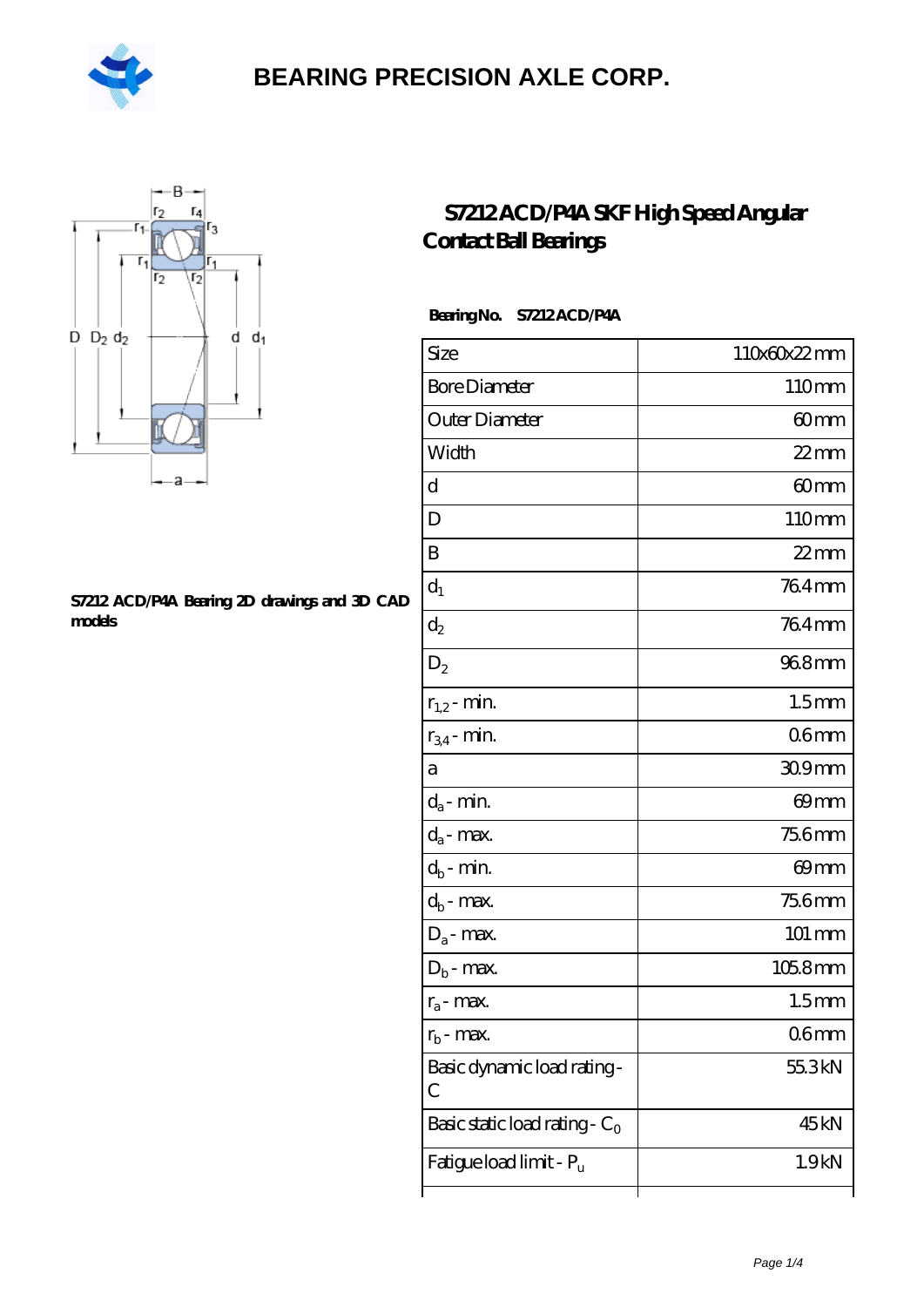



#### **[S7212 ACD/P4A Bearing 2D drawings and 3D CAD](https://m.hilalanaokulu.com/pic-660825.html) [models](https://m.hilalanaokulu.com/pic-660825.html)**

### **[S7212 ACD/P4A SKF High Speed Angular](https://m.hilalanaokulu.com/skf-bearings/s7212-acd-p4a.html) [Contact Ball Bearings](https://m.hilalanaokulu.com/skf-bearings/s7212-acd-p4a.html)**

#### **Bearing No. S7212 ACD/P4A**

| Size                             | 110x60x22mm          |
|----------------------------------|----------------------|
| <b>Bore Diameter</b>             | 110mm                |
| Outer Diameter                   | 60mm                 |
| Width                            | $22$ mm              |
| d                                | 60mm                 |
| D                                | 110mm                |
| B                                | $22$ mm              |
| $d_1$                            | 764mm                |
| $\mathrm{d}_2$                   | 764mm                |
| $D_2$                            | 968mm                |
| $r_{1,2}$ - min.                 | 1.5 <sub>mm</sub>    |
| $r_{34}$ - min.                  | 06mm                 |
| а                                | 309mm                |
| $d_a$ - min.                     | 69mm                 |
| $d_a$ - max.                     | <b>756mm</b>         |
| $d_b$ - min.                     | 69 <sub>mm</sub>     |
| $d_b$ - $max$ .                  | 756mm                |
| $D_a$ - max.                     | $101 \, \mathrm{mm}$ |
| $D_b$ - max.                     | $1058$ mm            |
| $r_a$ - max.                     | 1.5 <sub>mm</sub>    |
| $r_{\rm b}$ - max.               | 06mm                 |
| Basic dynamic load rating-<br>С  | 55.3kN               |
| Basic static load rating - $C_0$ | 45kN                 |
| Fatigue load limit - Pu          | 1.9 <sub>kN</sub>    |
|                                  |                      |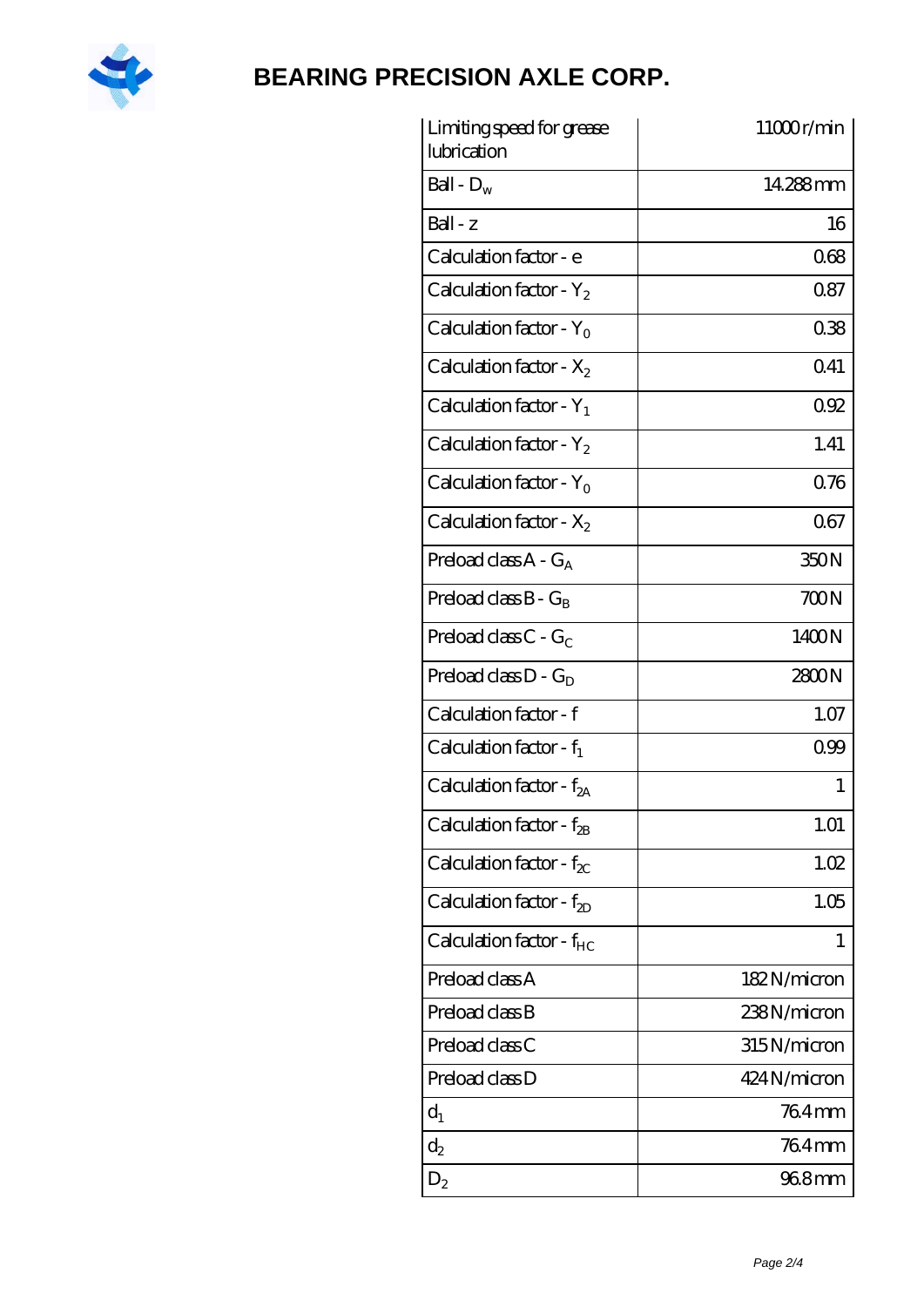

| Limiting speed for grease<br>lubrication | 11000r/min   |
|------------------------------------------|--------------|
| Ball - $D_w$                             | 14288mm      |
| $Ball - z$                               | 16           |
| Calculation factor - e                   | 068          |
| Calculation factor - $Y_2$               | 0.87         |
| Calculation factor - $Y_0$               | 038          |
| Calculation factor - $X_2$               | 0.41         |
| Calculation factor - $Y_1$               | 092          |
| Calculation factor - $Y_2$               | 1.41         |
| Calculation factor - $Y_0$               | 0.76         |
| Calculation factor - $X_2$               | 067          |
| Preload class $A - G_A$                  | 350N         |
| Preload class $B - G_B$                  | 700N         |
| Preload class $C - G_C$                  | 1400N        |
| Preload class $D - G_D$                  | 2800N        |
| Calculation factor - f                   | 1.07         |
| Calculation factor - $f_1$               | 099          |
| Calculation factor - f <sub>2A</sub>     | 1            |
| Calculation factor - $f_{2B}$            | 1.01         |
| Calculation factor - $f_{\chi}$          | 1.02         |
| Calculation factor - $f_{2D}$            | 1.05         |
| Calculation factor - $f_{HC}$            | 1            |
| Preload class A                          | 182N/micron  |
| Preload class B                          | 238N/micron  |
| Preload class C                          | 315N/micron  |
| Preload class D                          | 424 N/micron |
| $d_1$                                    | 764mm        |
| $d_2$                                    | 764mm        |
| $D_2$                                    | 968mm        |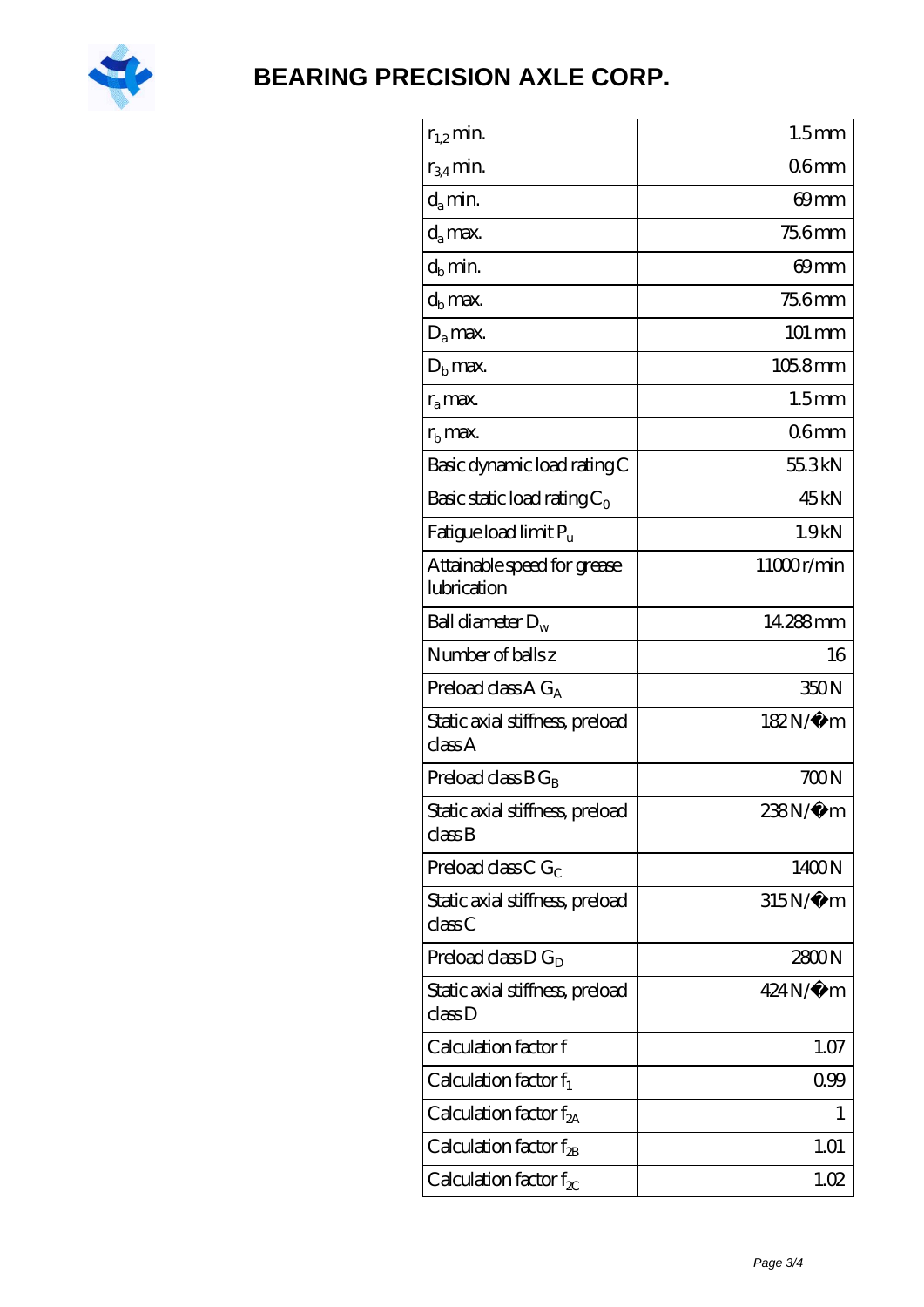

| $r_{1,2}$ min.                                                | 1.5 <sub>mm</sub> |
|---------------------------------------------------------------|-------------------|
| $r_{34}$ min.                                                 | 06 <sub>mm</sub>  |
| $d_a$ min.                                                    | $69$ mm           |
| $d_a$ max.                                                    | 75.6mm            |
| $d_b$ min.                                                    | 69 <sub>mm</sub>  |
| $d_h$ max.                                                    | <b>75.6mm</b>     |
| $D_a$ max.                                                    | 101 mm            |
| $D_{\rm b}$ max.                                              | $1058$ mm         |
| $r_a$ max.                                                    | 1.5 <sub>mm</sub> |
| $rb$ max.                                                     | 06 <sub>mm</sub>  |
| Basic dynamic load rating C                                   | 55.3kN            |
| Basic static load rating $C_0$                                | 45 <sub>kN</sub>  |
| Fatigue load limit $P_u$                                      | 1.9kN             |
| Attainable speed for grease<br>lubrication                    | 11000r/min        |
| Ball diameter $D_w$                                           | 14.288mm          |
| Number of balls z                                             | 16                |
| Preload class $A G_A$                                         | 350N              |
| Static axial stiffness, preload<br>classA                     | 182N/μ m          |
| Preload class $BG_R$                                          | 700N              |
| Static axial stiffness, preload<br>$\mathrm{class}\mathrm{B}$ | 238N/µ m          |
| Preload class $CG_C$                                          | 1400N             |
| Static axial stiffness, preload<br>classC                     | 315N/µ m          |
| Preload class $D G_D$                                         | 2800N             |
| Static axial stiffness, preload<br>classD                     | $424N/\mu$ m      |
| Calculation factor f                                          | 1.07              |
| Calculation factor $f_1$                                      | 0.99              |
| Calculation factor f <sub>2A</sub>                            | 1                 |
| Calculation factor $f_{\rm 2B}$                               | 1.01              |
| Calculation factor $f_{\chi}$                                 | 1.02              |